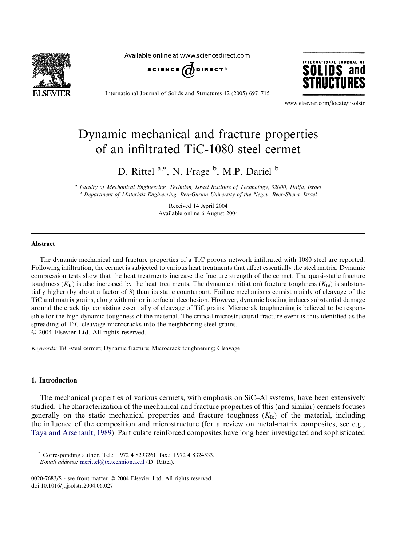

Available online at www.sciencedirect.com





International Journal of Solids and Structures 42 (2005) 697–715

www.elsevier.com/locate/ijsolstr

# Dynamic mechanical and fracture properties of an infiltrated TiC-1080 steel cermet

D. Rittel <sup>a,\*</sup>, N. Frage <sup>b</sup>, M.P. Dariel <sup>b</sup>

<sup>a</sup> Faculty of Mechanical Engineering, Technion, Israel Institute of Technology, 32000, Haifa, Israel <sup>b</sup> Department of Materials Engineering, Ben-Gurion University of the Negev, Beer-Sheva, Israel

> Received 14 April 2004 Available online 6 August 2004

#### Abstract

The dynamic mechanical and fracture properties of a TiC porous network infiltrated with 1080 steel are reported. Following infiltration, the cermet is subjected to various heat treatments that affect essentially the steel matrix. Dynamic compression tests show that the heat treatments increase the fracture strength of the cermet. The quasi-static fracture toughness ( $K_{\text{Ic}}$ ) is also increased by the heat treatments. The dynamic (initiation) fracture toughness ( $K_{\text{Id}}$ ) is substantially higher (by about a factor of 3) than its static counterpart. Failure mechanisms consist mainly of cleavage of the TiC and matrix grains, along with minor interfacial decohesion. However, dynamic loading induces substantial damage around the crack tip, consisting essentially of cleavage of TiC grains. Microcrak toughnening is believed to be responsible for the high dynamic toughness of the material. The critical microstructural fracture event is thus identified as the spreading of TiC cleavage microcracks into the neighboring steel grains. 2004 Elsevier Ltd. All rights reserved.

Keywords: TiC-steel cermet; Dynamic fracture; Microcrack toughnening; Cleavage

# 1. Introduction

The mechanical properties of various cermets, with emphasis on SiC–Al systems, have been extensively studied. The characterization of the mechanical and fracture properties of this (and similar) cermets focuses generally on the static mechanical properties and fracture toughness  $(K<sub>1c</sub>)$  of the material, including the influence of the composition and microstructure (for a review on metal-matrix composites, see e.g., [Taya and Arsenault, 1989\)](#page-18-0). Particulate reinforced composites have longbeen investigated and sophisticated

Corresponding author. Tel.: +972 4 8293261; fax.: +972 4 8324533. E-mail address: [merittel@tx.technion.ac.il](mailto:merittel@tx.technion.ac.il ) (D. Rittel).

<sup>0020-7683/\$ -</sup> see front matter © 2004 Elsevier Ltd. All rights reserved. doi:10.1016/j.ijsolstr.2004.06.027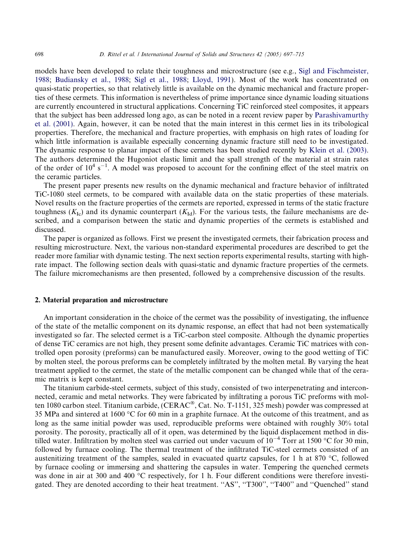models have been developed to relate their toughness and microstructure (see e.g., [Sigl and Fischmeister,](#page-18-0) [1988](#page-18-0); [Budiansky et al., 1988](#page-18-0); [Sigl et al., 1988](#page-18-0); [Lloyd, 1991\)](#page-18-0). Most of the work has concentrated on quasi-static properties, so that relatively little is available on the dynamic mechanical and fracture properties of these cermets. This information is nevertheless of prime importance since dynamic loadingsituations are currently encountered in structural applications. ConcerningTiC reinforced steel composites, it appears that the subject has been addressed longago, as can be noted in a recent review paper by [Parashivamurthy](#page-18-0) [et al. \(2001\)](#page-18-0). Again, however, it can be noted that the main interest in this cermet lies in its tribological properties. Therefore, the mechanical and fracture properties, with emphasis on high rates of loading for which little information is available especially concerning dynamic fracture still need to be investigated. The dynamic response to planar impact of these cermets has been studied recently by [Klein et al. \(2003\)](#page-18-0). The authors determined the Hugoniot elastic limit and the spall strength of the material at strain rates of the order of  $10^4$  s<sup>-1</sup>. A model was proposed to account for the confining effect of the steel matrix on the ceramic particles.

The present paper presents new results on the dynamic mechanical and fracture behavior of infiltrated TiC-1080 steel cermets, to be compared with available data on the static properties of these materials. Novel results on the fracture properties of the cermets are reported, expressed in terms of the static fracture toughness  $(K_{\text{Ic}})$  and its dynamic counterpart  $(K_{\text{Id}})$ . For the various tests, the failure mechanisms are described, and a comparison between the static and dynamic properties of the cermets is established and discussed.

The paper is organized as follows. First we present the investigated cermets, their fabrication process and resulting microstructure. Next, the various non-standard experimental procedures are described to get the reader more familiar with dynamic testing. The next section reports experimental results, starting with highrate impact. The following section deals with quasi-static and dynamic fracture properties of the cermets. The failure micromechanisms are then presented, followed by a comprehensive discussion of the results.

# 2. Material preparation and microstructure

An important consideration in the choice of the cermet was the possibility of investigating, the influence of the state of the metallic component on its dynamic response, an effect that had not been systematically investigated so far. The selected cermet is a TiC-carbon steel composite. Although the dynamic properties of dense TiC ceramics are not high, they present some definite advantages. Ceramic TiC matrices with controlled open porosity (preforms) can be manufactured easily. Moreover, owing to the good wetting of TiC by molten steel, the porous preforms can be completely infiltrated by the molten metal. By varying the heat treatment applied to the cermet, the state of the metallic component can be changed while that of the ceramic matrix is kept constant.

The titanium carbide-steel cermets, subject of this study, consisted of two interpenetratingand interconnected, ceramic and metal networks. They were fabricated by infiltratinga porous TiC preforms with molten 1080 carbon steel. Titanium carbide, (CERAC®, Cat. No. T-1151, 325 mesh) powder was compressed at 35 MPa and sintered at 1600 C for 60 min in a graphite furnace. At the outcome of this treatment, and as long as the same initial powder was used, reproducible preforms were obtained with roughly 30% total porosity. The porosity, practically all of it open, was determined by the liquid displacement method in distilled water. Infiltration by molten steel was carried out under vacuum of  $10^{-4}$  Torr at 1500 °C for 30 min, followed by furnace cooling. The thermal treatment of the infiltrated TiC-steel cermets consisted of an austenitizing treatment of the samples, sealed in evacuated quartz capsules, for 1 h at 870 °C, followed by furnace cooling or immersing and shattering the capsules in water. Tempering the quenched cermets was done in air at 300 and 400 °C respectively, for 1 h. Four different conditions were therefore investigated. They are denoted according to their heat treatment. "AS", "T300", "T400" and "Quenched" stand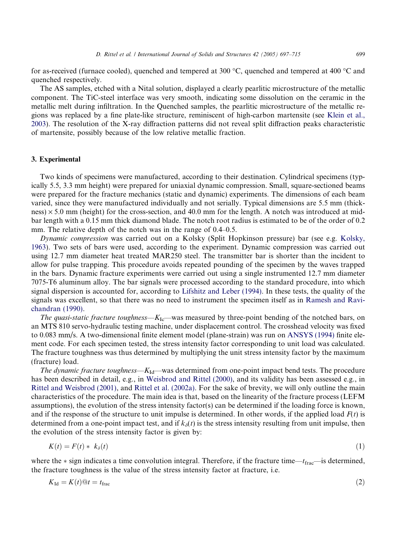for as-received (furnace cooled), quenched and tempered at 300 °C, quenched and tempered at 400 °C and quenched respectively.

The AS samples, etched with a Nital solution, displayed a clearly pearlitic microstructure of the metallic component. The TiC-steel interface was very smooth, indicatingsome dissolution on the ceramic in the metallic melt during infiltration. In the Quenched samples, the pearlitic microstructure of the metallic regions was replaced by a fine plate-like structure, reminiscent of high-carbon martensite (see [Klein et al.,](#page-18-0) [2003](#page-18-0)). The resolution of the X-ray diffraction patterns did not reveal split diffraction peaks characteristic of martensite, possibly because of the low relative metallic fraction.

#### 3. Experimental

Two kinds of specimens were manufactured, according to their destination. Cylindrical specimens (typically 5.5, 3.3 mm height) were prepared for uniaxial dynamic compression. Small, square-sectioned beams were prepared for the fracture mechanics (static and dynamic) experiments. The dimensions of each beam varied, since they were manufactured individually and not serially. Typical dimensions are 5.5 mm (thick $ness$   $\times$  5.0 mm (height) for the cross-section, and 40.0 mm for the length. A notch was introduced at midbar length with a 0.15 mm thick diamond blade. The notch root radius is estimated to be of the order of 0.2 mm. The relative depth of the notch was in the range of  $0.4-0.5$ .

Dynamic compression was carried out on a Kolsky (Split Hopkinson pressure) bar (see e.g. [Kolsky,](#page-18-0) [1963](#page-18-0)). Two sets of bars were used, according to the experiment. Dynamic compression was carried out using 12.7 mm diameter heat treated MAR250 steel. The transmitter bar is shorter than the incident to allow for pulse trapping. This procedure avoids repeated pounding of the specimen by the waves trapped in the bars. Dynamic fracture experiments were carried out usinga single instrumented 12.7 mm diameter 7075-T6 aluminum alloy. The bar signals were processed according to the standard procedure, into which signal dispersion is accounted for, according to [Lifshitz and Leber \(1994\)](#page-18-0). In these tests, the quality of the signals was excellent, so that there was no need to instrument the specimen itself as in [Ramesh and Ravi](#page-18-0)[chandran \(1990\).](#page-18-0)

The quasi-static fracture toughness— $K_{Ic}$ —was measured by three-point bending of the notched bars, on an MTS 810 servo-hydraulic testing machine, under displacement control. The crosshead velocity was fixed to 0.083 mm/s. A two-dimensional finite element model (plane-strain) was run on [ANSYS \(1994\)](#page-18-0) finite element code. For each specimen tested, the stress intensity factor corresponding to unit load was calculated. The fracture toughness was thus determined by multiplying the unit stress intensity factor by the maximum (fracture) load.

The dynamic fracture toughness— $K_{\text{Id}}$ —was determined from one-point impact bend tests. The procedure has been described in detail, e.g., in [Weisbrod and Rittel \(2000\),](#page-18-0) and its validity has been assessed e.g., in [Rittel and Weisbrod \(2001\),](#page-18-0) and [Rittel et al. \(2002a\).](#page-18-0) For the sake of brevity, we will only outline the main characteristics of the procedure. The main idea is that, based on the linearity of the fracture process (LEFM assumptions), the evolution of the stress intensity factor(s) can be determined if the loading force is known, and if the response of the structure to unit impulse is determined. In other words, if the applied load  $F(t)$  is determined from a one-point impact test, and if  $k_{\delta}(t)$  is the stress intensity resulting from unit impulse, then the evolution of the stress intensity factor is given by:

$$
K(t) = F(t) * k_{\delta}(t) \tag{1}
$$

where the  $*$  sign indicates a time convolution integral. Therefore, if the fracture time— $t_{\text{frac}}$ —is determined, the fracture toughness is the value of the stress intensity factor at fracture, i.e.

$$
K_{\rm Id} = K(t) @ t = t_{\rm frac} \tag{2}
$$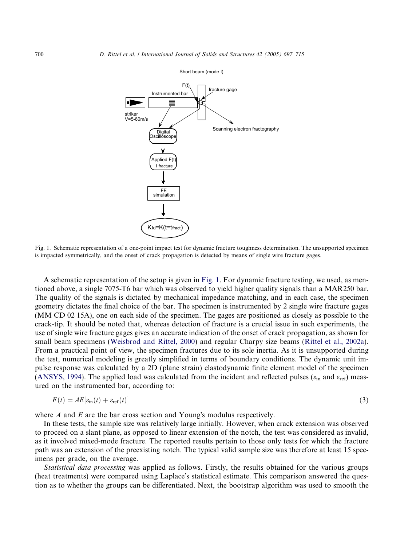

Fig. 1. Schematic representation of a one-point impact test for dynamic fracture toughness determination. The unsupported specimen is impacted symmetrically, and the onset of crack propagation is detected by means of single wire fracture gages.

A schematic representation of the setup is given in Fig. 1. For dynamic fracture testing, we used, as mentioned above, a single 7075-T6 bar which was observed to yield higher quality signals than a MAR250 bar. The quality of the signals is dictated by mechanical impedance matching, and in each case, the specimen geometry dictates the final choice of the bar. The specimen is instrumented by 2 single wire fracture gages (MM CD 02 15A), one on each side of the specimen. The gages are positioned as closely as possible to the crack-tip. It should be noted that, whereas detection of fracture is a crucial issue in such experiments, the use of single wire fracture gages gives an accurate indication of the onset of crack propagation, as shown for small beam specimens [\(Weisbrod and Rittel, 2000](#page-18-0)) and regular Charpy size beams ([Rittel et al., 2002a\)](#page-18-0). From a practical point of view, the specimen fractures due to its sole inertia. As it is unsupported during the test, numerical modelingis greatly simplified in terms of boundary conditions. The dynamic unit impulse response was calculated by a 2D (plane strain) elastodynamic finite element model of the specimen ([ANSYS, 1994](#page-18-0)). The applied load was calculated from the incident and reflected pulses ( $\varepsilon_{\rm in}$  and  $\varepsilon_{\rm ref}$ ) measured on the instrumented bar, according to:

$$
F(t) = AE[\varepsilon_{\rm in}(t) + \varepsilon_{\rm ref}(t)]
$$
\n(3)

where  $A$  and  $E$  are the bar cross section and Young's modulus respectively.

In these tests, the sample size was relatively large initially. However, when crack extension was observed to proceed on a slant plane, as opposed to linear extension of the notch, the test was considered as invalid, as it involved mixed-mode fracture. The reported results pertain to those only tests for which the fracture path was an extension of the preexisting notch. The typical valid sample size was therefore at least 15 specimens per grade, on the average.

Statistical data processing was applied as follows. Firstly, the results obtained for the various groups (heat treatments) were compared using Laplace's statistical estimate. This comparison answered the question as to whether the groups can be differentiated. Next, the bootstrap algorithm was used to smooth the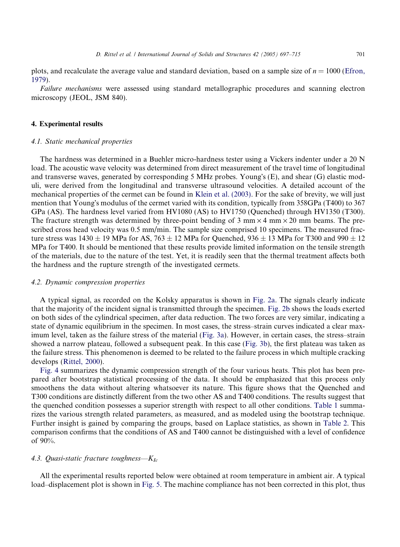plots, and recalculate the average value and standard deviation, based on a sample size of  $n = 1000$  [\(Efron,](#page-18-0) [1979](#page-18-0)).

Failure mechanisms were assessed using standard metallographic procedures and scanning electron microscopy (JEOL, JSM 840).

# 4. Experimental results

### 4.1. Static mechanical properties

The hardness was determined in a Buehler micro-hardness tester usinga Vickers indenter under a 20 N load. The acoustic wave velocity was determined from direct measurement of the travel time of longitudinal and transverse waves, generated by corresponding 5 MHz probes. Young's  $(E)$ , and shear  $(G)$  elastic moduli, were derived from the longitudinal and transverse ultrasound velocities. A detailed account of the mechanical properties of the cermet can be found in [Klein et al. \(2003\).](#page-18-0) For the sake of brevity, we will just mention that Young's modulus of the cermet varied with its condition, typically from 358GPa (T400) to 367 GPa (AS). The hardness level varied from HV1080 (AS) to HV1750 (Quenched) through HV1350 (T300). The fracture strength was determined by three-point bending of 3 mm  $\times$  4 mm  $\times$  20 mm beams. The prescribed cross head velocity was 0.5 mm/min. The sample size comprised 10 specimens. The measured fracture stress was  $1430 \pm 19$  MPa for AS,  $763 \pm 12$  MPa for Quenched,  $936 \pm 13$  MPa for T300 and  $990 \pm 12$ MPa for T400. It should be mentioned that these results provide limited information on the tensile strength of the materials, due to the nature of the test. Yet, it is readily seen that the thermal treatment affects both the hardness and the rupture strength of the investigated cermets.

#### 4.2. Dynamic compression properties

A typical signal, as recorded on the Kolsky apparatus is shown in [Fig. 2a](#page-5-0). The signals clearly indicate that the majority of the incident signal is transmitted through the specimen. [Fig. 2b](#page-5-0) shows the loads exerted on both sides of the cylindrical specimen, after data reduction. The two forces are very similar, indicatinga state of dynamic equilibrium in the specimen. In most cases, the stress–strain curves indicated a clear maximum level, taken as the failure stress of the material [\(Fig. 3a](#page-6-0)). However, in certain cases, the stress–strain showed a narrow plateau, followed a subsequent peak. In this case ([Fig. 3b\)](#page-6-0), the first plateau was taken as the failure stress. This phenomenon is deemed to be related to the failure process in which multiple cracking develops ([Rittel, 2000](#page-18-0)).

[Fig. 4](#page-7-0) summarizes the dynamic compression strength of the four various heats. This plot has been prepared after bootstrap statistical processing of the data. It should be emphasized that this process only smoothens the data without altering whatsoever its nature. This figure shows that the Quenched and T300 conditions are distinctly different from the two other AS and T400 conditions. The results suggest that the quenched condition possesses a superior strength with respect to all other conditions. [Table 1](#page-7-0) summarizes the various strength related parameters, as measured, and as modeled using the bootstrap technique. Further insight is gained by comparing the groups, based on Laplace statistics, as shown in [Table 2](#page-7-0). This comparison confirms that the conditions of AS and T400 cannot be distinguished with a level of confidence of 90%.

## 4.3. Quasi-static fracture toughness— $K_{Ic}$

All the experimental results reported below were obtained at room temperature in ambient air. A typical load–displacement plot is shown in [Fig. 5.](#page-8-0) The machine compliance has not been corrected in this plot, thus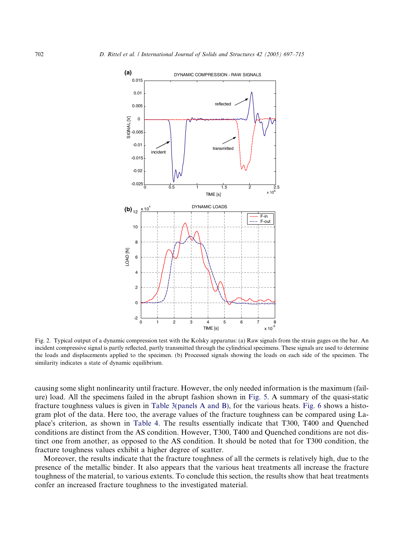<span id="page-5-0"></span>

Fig. 2. Typical output of a dynamic compression test with the Kolsky apparatus: (a) Raw signals from the strain gages on the bar. An incident compressive signal is partly reflected, partly transmitted through the cylindrical specimens. These signals are used to determine the loads and displacements applied to the specimen. (b) Processed signals showing the loads on each side of the specimen. The similarity indicates a state of dynamic equilibrium.

causingsome slight nonlinearity until fracture. However, the only needed information is the maximum (failure) load. All the specimens failed in the abrupt fashion shown in [Fig. 5.](#page-8-0) A summary of the quasi-static fracture toughness values is given in [Table 3\(panels A and B\),](#page-8-0) for the various heats. [Fig. 6](#page-9-0) shows a histogram plot of the data. Here too, the average values of the fracture toughness can be compared using La-place's criterion, as shown in [Table 4](#page-9-0). The results essentially indicate that T300, T400 and Quenched conditions are distinct from the AS condition. However, T300, T400 and Quenched conditions are not distinct one from another, as opposed to the AS condition. It should be noted that for T300 condition, the fracture toughness values exhibit a higher degree of scatter.

Moreover, the results indicate that the fracture toughness of all the cermets is relatively high, due to the presence of the metallic binder. It also appears that the various heat treatments all increase the fracture toughness of the material, to various extents. To conclude this section, the results show that heat treatments confer an increased fracture toughness to the investigated material.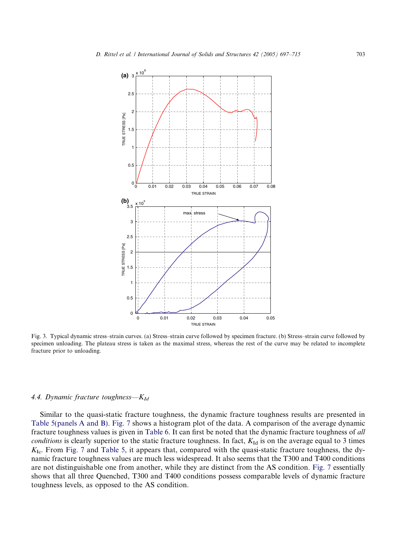<span id="page-6-0"></span>

Fig. 3. Typical dynamic stress–strain curves. (a) Stress–strain curve followed by specimen fracture. (b) Stress–strain curve followed by specimen unloading. The plateau stress is taken as the maximal stress, whereas the rest of the curve may be related to incomplete fracture prior to unloading.

#### 4.4. Dynamic fracture toughness— $K_{1d}$

Similar to the quasi-static fracture toughness, the dynamic fracture toughness results are presented in [Table 5\(panels A and B\).](#page-9-0) [Fig. 7](#page-10-0) shows a histogram plot of the data. A comparison of the average dynamic fracture toughness values is given in [Table 6](#page-10-0). It can first be noted that the dynamic fracture toughness of all conditions is clearly superior to the static fracture toughness. In fact,  $K_{\text{Id}}$  is on the average equal to 3 times  $K_{\text{Ic}}$ . From [Fig. 7](#page-10-0) and [Table 5](#page-9-0), it appears that, compared with the quasi-static fracture toughness, the dynamic fracture toughness values are much less widespread. It also seems that the T300 and T400 conditions are not distinguishable one from another, while they are distinct from the AS condition. [Fig. 7](#page-10-0) essentially shows that all three Quenched, T300 and T400 conditions possess comparable levels of dynamic fracture toughness levels, as opposed to the AS condition.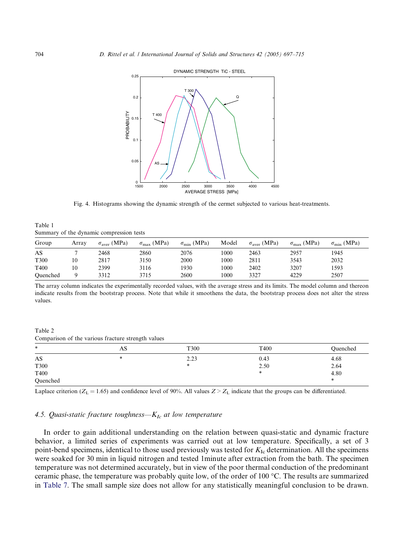<span id="page-7-0"></span>

Fig. 4. Histograms showing the dynamic strength of the cermet subjected to various heat-treatments.

Table 1 Summary of the dynamic compression tests

| Group    | Array | $\sigma_{\text{aver}}$ (MPa) | $\sigma_{\text{max}}$ (MPa) | $\sigma_{\min}$ (MPa) | Model | $\sigma_{\text{aver}}$ (MPa) | $\sigma_{\text{max}}$ (MPa) | $\sigma_{\min}$ (MPa) |
|----------|-------|------------------------------|-----------------------------|-----------------------|-------|------------------------------|-----------------------------|-----------------------|
| AS       |       | 2468                         | 2860                        | 2076                  | 1000  | 2463                         | 2957                        | 1945                  |
| T300     | 10    | 2817                         | 3150                        | 2000                  | 1000  | 2811                         | 3543                        | 2032                  |
| T400     | 10    | 2399                         | 3116                        | 1930                  | 1000  | 2402                         | 3207                        | 593ء                  |
| Ouenched |       | 3312                         | 3715                        | 2600                  | 1000  | 3327                         | 4229                        | 2507                  |

The array column indicates the experimentally recorded values, with the average stress and its limits. The model column and thereon indicate results from the bootstrap process. Note that while it smoothens the data, the bootstrap process does not alter the stress values.

Table 2 Comparison of the various fracture strength values

| $*$      | AS | T300           | T400 | Ouenched |
|----------|----|----------------|------|----------|
| AS       | *  | າ າາ<br>د ے. د | 0.43 | 4.68     |
| T300     |    | *              | 2.50 | 2.64     |
| T400     |    |                | ∗    | 4.80     |
| Quenched |    |                |      | $\ast$   |

Laplace criterion ( $Z_L = 1.65$ ) and confidence level of 90%. All values  $Z > Z_L$  indicate that the groups can be differentiated.

# 4.5. Quasi-static fracture toughness— $K_{Ic}$  at low temperature

In order to gain additional understanding on the relation between quasi-static and dynamic fracture behavior, a limited series of experiments was carried out at low temperature. Specifically, a set of 3 point-bend specimens, identical to those used previously was tested for  $K_{\text{Ic}}$  determination. All the specimens were soaked for 30 min in liquid nitrogen and tested 1minute after extraction from the bath. The specimen temperature was not determined accurately, but in view of the poor thermal conduction of the predominant ceramic phase, the temperature was probably quite low, of the order of  $100^{\circ}$ C. The results are summarized in [Table 7](#page-10-0). The small sample size does not allow for any statistically meaningful conclusion to be drawn.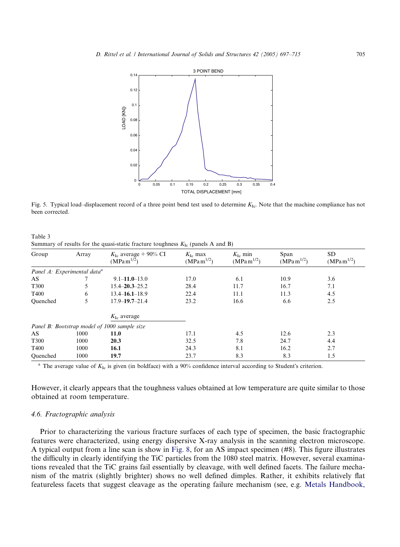<span id="page-8-0"></span>

Fig. 5. Typical load–displacement record of a three point bend test used to determine K<sub>Ic</sub>. Note that the machine compliance has not been corrected.

| Table 3                                                                              |  |  |
|--------------------------------------------------------------------------------------|--|--|
| Summary of results for the quasi-static fracture toughness $K_{Ic}$ (panels A and B) |  |  |

| Group                                   | Array | $K_{\text{Ic}}$ average + 90% CI<br>$(MPam^{1/2})$ | $K_{\text{Ic}}$ max<br>$(MPa m^{1/2})$ | $K_{\text{Ic}}$ min<br>$(MPam^{1/2})$ | Span<br>$(MPam^{1/2})$ | SD.<br>$(MPan^{1/2})$ |
|-----------------------------------------|-------|----------------------------------------------------|----------------------------------------|---------------------------------------|------------------------|-----------------------|
| Panel A: Experimental data <sup>a</sup> |       |                                                    |                                        |                                       |                        |                       |
| AS                                      |       | $9.1 - 11.0 - 13.0$                                | 17.0                                   | 6.1                                   | 10.9                   | 3.6                   |
| T300                                    | 5     | $15.4 - 20.3 - 25.2$                               | 28.4                                   | 11.7                                  | 16.7                   | 7.1                   |
| T <sub>400</sub>                        | 6     | $13.4 - 16.1 - 18.9$                               | 22.4                                   | 11.1                                  | 11.3                   | 4.5                   |
| Ouenched                                | 5     | $17.9 - 19.7 - 21.4$                               | 23.2                                   | 16.6                                  | 6.6                    | 2.5                   |
|                                         |       | $K_{\text{Ic}}$ average                            |                                        |                                       |                        |                       |
|                                         |       | Panel B: Bootstrap model of 1000 sample size       |                                        |                                       |                        |                       |
| AS                                      | 1000  | 11.0                                               | 17.1                                   | 4.5                                   | 12.6                   | 2.3                   |
| T300                                    | 1000  | 20.3                                               | 32.5                                   | 7.8                                   | 24.7                   | 4.4                   |
| T <sub>400</sub>                        | 1000  | 16.1                                               | 24.3                                   | 8.1                                   | 16.2                   | 2.7                   |
| Ouenched                                | 1000  | 19.7                                               | 23.7                                   | 8.3                                   | 8.3                    | 1.5                   |

<sup>a</sup> The average value of  $K_{\text{Ic}}$  is given (in boldface) with a 90% confidence interval according to Student's criterion.

However, it clearly appears that the toughness values obtained at low temperature are quite similar to those obtained at room temperature.

# 4.6. Fractographic analysis

Prior to characterizing the various fracture surfaces of each type of specimen, the basic fractographic features were characterized, using energy dispersive X-ray analysis in the scanning electron microscope. A typical output from a line scan is show in [Fig. 8](#page-11-0), for an AS impact specimen (#8). This figure illustrates the difficulty in clearly identifying the TiC particles from the 1080 steel matrix. However, several examinations revealed that the TiC grains fail essentially by cleavage, with well defined facets. The failure mechanism of the matrix (slightly brighter) shows no well defined dimples. Rather, it exhibits relatively flat featureless facets that suggest cleavage as the operating failure mechanism (see, e.g. [Metals Handbook,](#page-18-0)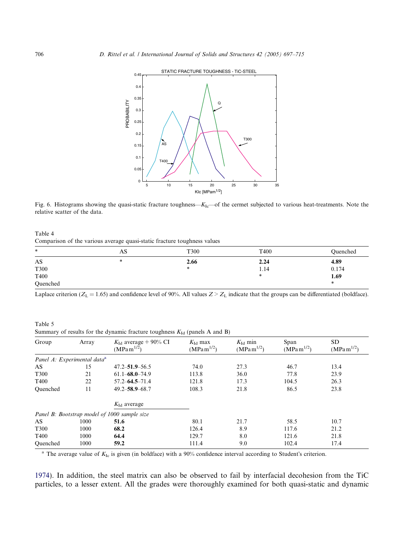<span id="page-9-0"></span>

Fig. 6. Histograms showing the quasi-static fracture toughness— $K_{1c}$ —of the cermet subjected to various heat-treatments. Note the relative scatter of the data.

Table 4 Comparison of the various average quasi-static fracture toughness values

| $*$      | AS | T300 | T <sub>400</sub> | Ouenched |
|----------|----|------|------------------|----------|
| AS       | *  | 2.66 | 2.24             | 4.89     |
| T300     |    | *    | 1.14             | 0.174    |
| T400     |    |      | ∗                | 1.69     |
| Quenched |    |      |                  | $\ast$   |

Laplace criterion ( $Z_L = 1.65$ ) and confidence level of 90%. All values  $Z > Z_L$  indicate that the groups can be differentiated (boldface).

Table 5 Summary of results for the dynamic fracture toughness  $K_{\text{Id}}$  (panels A and B)

| Group                                   | Array | $K_{\text{Id}}$ average + 90% CI<br>$(MPa m^{1/2})$ | $K_{\text{Id}}$ max<br>$(MPan^{1/2})$ | $K_{\rm Id}$ min<br>$(MPan^{1/2})$ | Span<br>$(MPam^{1/2})$ | SD.<br>$(MPam^{1/2})$ |
|-----------------------------------------|-------|-----------------------------------------------------|---------------------------------------|------------------------------------|------------------------|-----------------------|
| Panel A: Experimental data <sup>a</sup> |       |                                                     |                                       |                                    |                        |                       |
| AS                                      | 15    | $47.2 - 51.9 - 56.5$                                | 74.0                                  | 27.3                               | 46.7                   | 13.4                  |
| T <sub>300</sub>                        | 21    | $61.1 - 68.0 - 74.9$                                | 113.8                                 | 36.0                               | 77.8                   | 23.9                  |
| T400                                    | 22    | $57.2 - 64.5 - 71.4$                                | 121.8                                 | 17.3                               | 104.5                  | 26.3                  |
| Ouenched                                | 11    | $49.2 - 58.9 - 68.7$                                | 108.3                                 | 21.8                               | 86.5                   | 23.8                  |
|                                         |       | $K_{\rm Id}$ average                                |                                       |                                    |                        |                       |
|                                         |       | Panel B: Bootstrap model of 1000 sample size        |                                       |                                    |                        |                       |
| AS                                      | 1000  | 51.6                                                | 80.1                                  | 21.7                               | 58.5                   | 10.7                  |
| T <sub>300</sub>                        | 1000  | 68.2                                                | 126.4                                 | 8.9                                | 117.6                  | 21.2                  |
| T400                                    | 1000  | 64.4                                                | 129.7                                 | 8.0                                | 121.6                  | 21.8                  |
| Ouenched                                | 1000  | 59.2                                                | 111.4                                 | 9.0                                | 102.4                  | 17.4                  |

<sup>a</sup> The average value of  $K_{\text{Ic}}$  is given (in boldface) with a 90% confidence interval according to Student's criterion.

[1974](#page-18-0)). In addition, the steel matrix can also be observed to fail by interfacial decohesion from the TiC particles, to a lesser extent. All the grades were thoroughly examined for both quasi-static and dynamic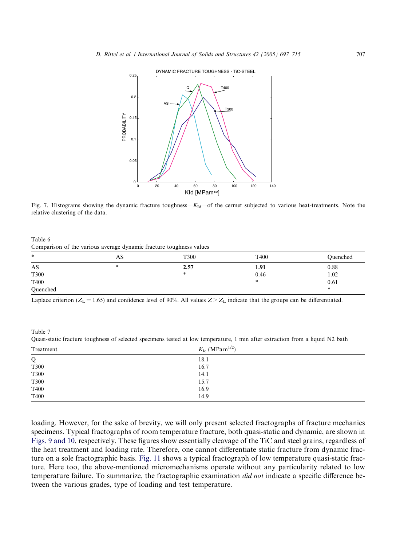<span id="page-10-0"></span>

Fig. 7. Histograms showing the dynamic fracture toughness— $K_{\text{Id}}$ —of the cermet subjected to various heat-treatments. Note the relative clustering of the data.

Table 6 Comparison of the various average dynamic fracture toughness values

| _____    | ___ |      |      |          |
|----------|-----|------|------|----------|
| $*$      | AS  | T300 | T400 | Ouenched |
| AS       | *   | 2.57 | 1.91 | 0.88     |
| T300     |     | *    | 0.46 | 1.02     |
| T400     |     |      | $*$  | 0.61     |
| Quenched |     |      |      | $*$      |

Laplace criterion ( $Z_L = 1.65$ ) and confidence level of 90%. All values  $Z > Z_L$  indicate that the groups can be differentiated.

Table 7 Quasi-static fracture toughness of selected specimens tested at low temperature, 1 min after extraction from a liquid N2 bath

| Treatment    | $K_{\rm Ic}$ (MPam <sup>1/2</sup> ) |
|--------------|-------------------------------------|
| Q            | 18.1                                |
| T300         | 16.7                                |
| T300<br>T300 | 14.1                                |
|              | 15.7                                |
| T400         | 16.9                                |
| T400         | 14.9                                |

loading. However, for the sake of brevity, we will only present selected fractographs of fracture mechanics specimens. Typical fractographs of room temperature fracture, both quasi-static and dynamic, are shown in [Figs. 9 and 10,](#page-12-0) respectively. These figures show essentially cleavage of the TiC and steel grains, regardless of the heat treatment and loading rate. Therefore, one cannot differentiate static fracture from dynamic fracture on a sole fractographic basis. [Fig. 11](#page-14-0) shows a typical fractograph of low temperature quasi-static fracture. Here too, the above-mentioned micromechanisms operate without any particularity related to low temperature failure. To summarize, the fractographic examination did not indicate a specific difference between the various grades, type of loading and test temperature.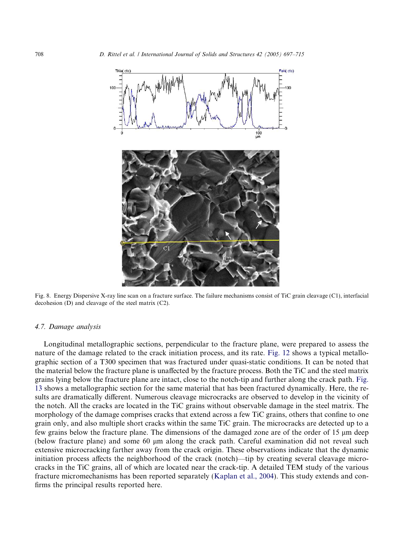<span id="page-11-0"></span>

Fig. 8. Energy Dispersive X-ray line scan on a fracture surface. The failure mechanisms consist of TiC grain cleavage (C1), interfacial decohesion (D) and cleavage of the steel matrix (C2).

## 4.7. Damage analysis

Longitudinal metallographic sections, perpendicular to the fracture plane, were prepared to assess the nature of the damage related to the crack initiation process, and its rate. [Fig. 12](#page-14-0) shows a typical metallographic section of a T300 specimen that was fractured under quasi-static conditions. It can be noted that the material below the fracture plane is unaffected by the fracture process. Both the TiC and the steel matrix grains lying below the fracture plane are intact, close to the notch-tip and further along the crack path. [Fig.](#page-15-0) [13](#page-15-0) shows a metallographic section for the same material that has been fractured dynamically. Here, the results are dramatically different. Numerous cleavage microcracks are observed to develop in the vicinity of the notch. All the cracks are located in the TiC grains without observable damage in the steel matrix. The morphology of the damage comprises cracks that extend across a few TiC grains, others that confine to one grain only, and also multiple short cracks within the same TiC grain. The microcracks are detected up to a few grains below the fracture plane. The dimensions of the damaged zone are of the order of  $15 \mu m$  deep (below fracture plane) and some  $60 \mu m$  along the crack path. Careful examination did not reveal such extensive microcracking farther away from the crack origin. These observations indicate that the dynamic initiation process affects the neighborhood of the crack (notch)––tip by creating several cleavage microcracks in the TiC grains, all of which are located near the crack-tip. A detailed TEM study of the various fracture micromechanisms has been reported separately [\(Kaplan et al., 2004\)](#page-18-0). This study extends and confirms the principal results reported here.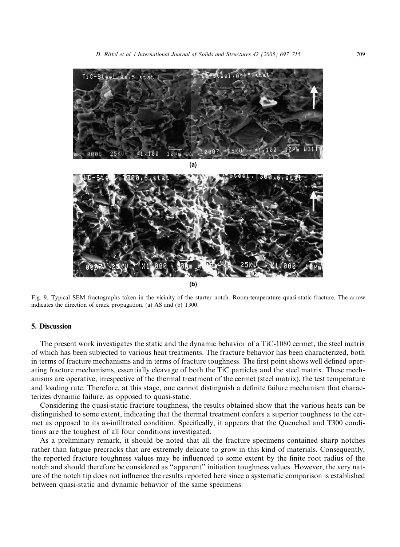<span id="page-12-0"></span>

Fig. 9. Typical SEM fractographs taken in the vicinity of the starter notch. Room-temperature quasi-static fracture. The arrow indicates the direction of crack propagation. (a) AS and (b) T300.

#### 5. Discussion

The present work investigates the static and the dynamic behavior of a TiC-1080 cermet, the steel matrix of which has been subjected to various heat treatments. The fracture behavior has been characterized, both in terms of fracture mechanisms and in terms of fracture toughness. The first point shows well defined operatingfracture mechanisms, essentially cleavage of both the TiC particles and the steel matrix. These mechanisms are operative, irrespective of the thermal treatment of the cermet (steel matrix), the test temperature and loading rate. Therefore, at this stage, one cannot distinguish a definite failure mechanism that characterizes dynamic failure, as opposed to quasi-static.

Considering the quasi-static fracture toughness, the results obtained show that the various heats can be distinguished to some extent, indicating that the thermal treatment confers a superior toughness to the cermet as opposed to its as-infiltrated condition. Specifically, it appears that the Quenched and T300 conditions are the toughest of all four conditions investigated.

As a preliminary remark, it should be noted that all the fracture specimens contained sharp notches rather than fatigue precracks that are extremely delicate to grow in this kind of materials. Consequently, the reported fracture toughness values may be influenced to some extent by the finite root radius of the notch and should therefore be considered as ''apparent'' initiation toughness values. However, the very nature of the notch tip does not influence the results reported here since a systematic comparison is established between quasi-static and dynamic behavior of the same specimens.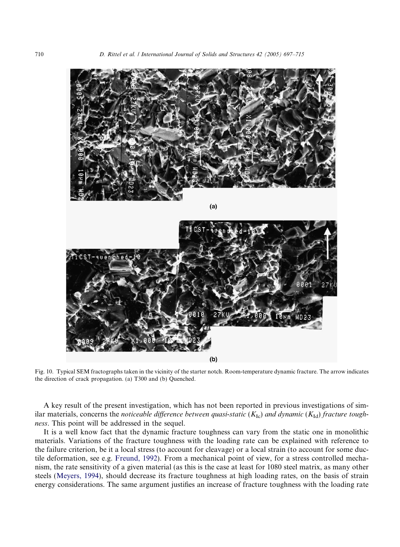

Fig. 10. Typical SEM fractographs taken in the vicinity of the starter notch. Room-temperature dynamic fracture. The arrow indicates the direction of crack propagation. (a) T300 and (b) Quenched.

A key result of the present investigation, which has not been reported in previous investigations of similar materials, concerns the noticeable difference between quasi-static ( $K_{\text{Ic}}$ ) and dynamic ( $K_{\text{Id}}$ ) fracture toughness. This point will be addressed in the sequel.

It is a well know fact that the dynamic fracture toughness can vary from the static one in monolithic materials. Variations of the fracture toughness with the loading rate can be explained with reference to the failure criterion, be it a local stress (to account for cleavage) or a local strain (to account for some ductile deformation, see e.g. [Freund, 1992](#page-18-0)). From a mechanical point of view, for a stress controlled mechanism, the rate sensitivity of a given material (as this is the case at least for 1080 steel matrix, as many other steels ([Meyers, 1994](#page-18-0)), should decrease its fracture toughness at high loading rates, on the basis of strain energy considerations. The same argument justifies an increase of fracture toughness with the loading rate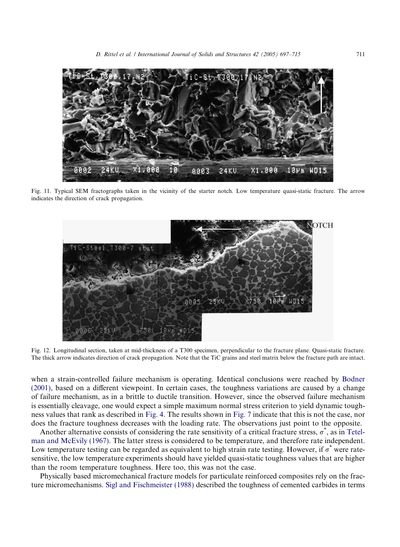<span id="page-14-0"></span>

Fig. 11. Typical SEM fractographs taken in the vicinity of the starter notch. Low temperature quasi-static fracture. The arrow indicates the direction of crack propagation.



Fig. 12. Longitudinal section, taken at mid-thickness of a T300 specimen, perpendicular to the fracture plane. Quasi-static fracture. The thick arrow indicates direction of crack propagation. Note that the TiC grains and steel matrix below the fracture path are intact.

when a strain-controlled failure mechanism is operating. Identical conclusions were reached by [Bodner](#page-18-0) [\(2001\)](#page-18-0), based on a different viewpoint. In certain cases, the toughness variations are caused by a change of failure mechanism, as in a brittle to ductile transition. However, since the observed failure mechanism is essentially cleavage, one would expect a simple maximum normal stress criterion to yield dynamic toughness values that rank as described in [Fig. 4](#page-7-0). The results shown in [Fig. 7](#page-10-0) indicate that this is not the case, nor does the fracture toughness decreases with the loading rate. The observations just point to the opposite.

Another alternative consists of considering the rate sensitivity of a critical fracture stress,  $\sigma^*$ , as in [Tetel](#page-18-0)[man and McEvily \(1967\)](#page-18-0). The latter stress is considered to be temperature, and therefore rate independent. Low temperature testing can be regarded as equivalent to high strain rate testing. However, if  $\sigma^*$  were ratesensitive, the low temperature experiments should have yielded quasi-static toughness values that are higher than the room temperature toughness. Here too, this was not the case.

Physically based micromechanical fracture models for particulate reinforced composites rely on the fracture micromechanisms. [Sigl and Fischmeister \(1988\)](#page-18-0) described the toughness of cemented carbides in terms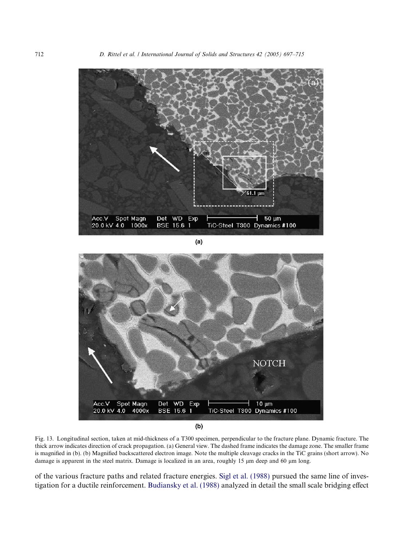<span id="page-15-0"></span>

 $(a)$ 



 $(b)$ 

Fig. 13. Longitudinal section, taken at mid-thickness of a T300 specimen, perpendicular to the fracture plane. Dynamic fracture. The thick arrow indicates direction of crack propagation. (a) General view. The dashed frame indicates the damage zone. The smaller frame is magnified in (b). (b) Magnified backscattered electron image. Note the multiple cleavage cracks in the TiC grains (short arrow). No damage is apparent in the steel matrix. Damage is localized in an area, roughly  $15 \mu m$  deep and  $60 \mu m$  long.

of the various fracture paths and related fracture energies. [Sigl et al. \(1988\)](#page-18-0) pursued the same line of investigation for a ductile reinforcement. [Budiansky et al. \(1988\)](#page-18-0) analyzed in detail the small scale bridging effect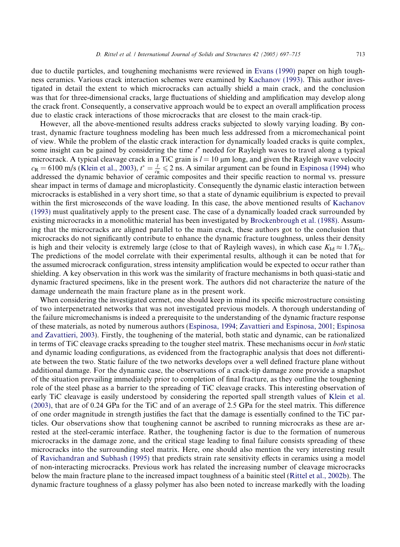due to ductile particles, and toughening mechanisms were reviewed in [Evans \(1990\)](#page-18-0) paper on high toughness ceramics. Various crack interaction schemes were examined by [Kachanov \(1993\).](#page-18-0) This author investigated in detail the extent to which microcracks can actually shield a main crack, and the conclusion was that for three-dimensional cracks, large fluctuations of shielding and amplification may develop along the crack front. Consequently, a conservative approach would be to expect an overall amplification process due to elastic crack interactions of those microcracks that are closest to the main crack-tip.

However, all the above-mentioned results address cracks subjected to slowly varyingloading. By contrast, dynamic fracture toughness modeling has been much less addressed from a micromechanical point of view. While the problem of the elastic crack interaction for dynamically loaded cracks is quite complex, some insight can be gained by considering the time  $t^*$  needed for Rayleigh waves to travel along a typical microcrack. A typical cleavage crack in a TiC grain is  $l = 10 \mu m$  long, and given the Rayleigh wave velocity  $c_R = 6100$  m/s ([Klein et al., 2003](#page-18-0)),  $t^* = \frac{l}{c_R} \le 2$  ns. A similar argument can be found in [Espinosa \(1994\)](#page-18-0) who addressed the dynamic behavior of ceramic composites and their specific reaction to normal vs. pressure shear impact in terms of damage and microplasticity. Consequently the dynamic elastic interaction between microcracks is established in a very short time, so that a state of dynamic equilibrium is expected to prevail within the first microseconds of the wave loading. In this case, the above mentioned results of [Kachanov](#page-18-0) [\(1993\)](#page-18-0) must qualitatively apply to the present case. The case of a dynamically loaded crack surrounded by existingmicrocracks in a monolithic material has been investigated by [Brockenbrough et al. \(1988\)](#page-18-0). Assuming that the microcracks are aligned parallel to the main crack, these authors got to the conclusion that microcracks do not significantly contribute to enhance the dynamic fracture toughness, unless their density is high and their velocity is extremely large (close to that of Rayleigh waves), in which case  $K_{\text{Id}} \approx 1.7 K_{\text{Ic}}$ . The predictions of the model correlate with their experimental results, although it can be noted that for the assumed microcrack configuration, stress intensity amplification would be expected to occur rather than shielding. A key observation in this work was the similarity of fracture mechanisms in both quasi-static and dynamic fractured specimens, like in the present work. The authors did not characterize the nature of the damage underneath the main fracture plane as in the present work.

When considering the investigated cermet, one should keep in mind its specific microstructure consisting of two interpenetrated networks that was not investigated previous models. A thorough understanding of the failure micromechanisms is indeed a prerequisite to the understandingof the dynamic fracture response of these materials, as noted by numerous authors ([Espinosa, 1994;](#page-18-0) [Zavattieri and Espinosa, 2001;](#page-18-0) [Espinosa](#page-18-0) [and Zavattieri, 2003\)](#page-18-0). Firstly, the toughening of the material, both static and dynamic, can be rationalized in terms of TiC cleavage cracks spreading to the tougher steel matrix. These mechanisms occur in both static and dynamic loading configurations, as evidenced from the fractographic analysis that does not differentiate between the two. Static failure of the two networks develops over a well defined fracture plane without additional damage. For the dynamic case, the observations of a crack-tip damage zone provide a snapshot of the situation prevailingimmediately prior to completion of final fracture, as they outline the toughening role of the steel phase as a barrier to the spreading of TiC cleavage cracks. This interesting observation of early TiC cleavage is easily understood by considering the reported spall strength values of [Klein et al.](#page-18-0) [\(2003\)](#page-18-0), that are of 0.24 GPa for the TiC and of an average of 2.5 GPa for the steel matrix. This difference of one order magnitude in strength justifies the fact that the damage is essentially confined to the TiC particles. Our observations show that toughening cannot be ascribed to running microcraks as these are arrested at the steel-ceramic interface. Rather, the toughening factor is due to the formation of numerous microcracks in the damage zone, and the critical stage leading to final failure consists spreading of these microcracks into the surrounding steel matrix. Here, one should also mention the very interesting result of [Ravichandran and Subhash \(1995\)](#page-18-0) that predicts strain rate sensitivity effects in ceramics usinga model of non-interacting microcracks. Previous work has related the increasing number of cleavage microcracks below the main fracture plane to the increased impact toughness of a bainitic steel [\(Rittel et al., 2002b\)](#page-18-0). The dynamic fracture toughness of a glassy polymer has also been noted to increase markedly with the loading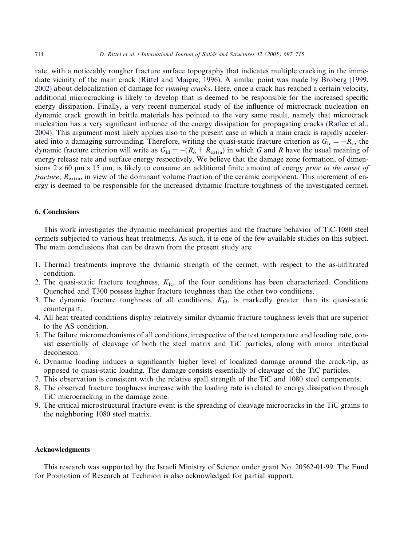rate, with a noticeably rougher fracture surface topography that indicates multiple cracking in the immediate vicinity of the main crack ([Rittel and Maigre, 1996](#page-18-0)). A similar point was made by [Broberg\(1999,](#page-18-0) [2002\)](#page-18-0) about delocalization of damage for *running cracks*. Here, once a crack has reached a certain velocity, additional microcracking is likely to develop that is deemed to be responsible for the increased specific energy dissipation. Finally, a very recent numerical study of the influence of microcrack nucleation on dynamic crack growth in brittle materials has pointed to the very same result, namely that microcrack nucleation has a very significant influence of the energy dissipation for propagating cracks [\(Rafiee et al.,](#page-18-0) [2004](#page-18-0)). This argument most likely applies also to the present case in which a main crack is rapidly accelerated into a damaging surrounding. Therefore, writing the quasi-static fracture criterion as  $G_{\text{Ic}} = -R_{\text{o}}$ , the dynamic fracture criterion will write as  $G_{\text{Id}} = -(R_{\text{o}} + R_{\text{extra}})$  in which G and R have the usual meaning of energy release rate and surface energy respectively. We believe that the damage zone formation, of dimensions  $2 \times 60 \text{ }\mu\text{m} \times 15 \text{ }\mu\text{m}$ , is likely to consume an additional finite amount of energy *prior to the onset of fracture,*  $R_{\text{extra}}$ , in view of the dominant volume fraction of the ceramic component. This increment of energy is deemed to be responsible for the increased dynamic fracture toughness of the investigated cermet.

# 6. Conclusions

This work investigates the dynamic mechanical properties and the fracture behavior of TiC-1080 steel cermets subjected to various heat treatments. As such, it is one of the few available studies on this subject. The main conclusions that can be drawn from the present study are:

- 1. Thermal treatments improve the dynamic strength of the cermet, with respect to the as-infiltrated condition.
- 2. The quasi-static fracture toughness,  $K_{\text{Ic}}$ , of the four conditions has been characterized. Conditions Quenched and T300 possess higher fracture toughness than the other two conditions.
- 3. The dynamic fracture toughness of all conditions,  $K<sub>Id</sub>$ , is markedly greater than its quasi-static counterpart.
- 4. All heat treated conditions display relatively similar dynamic fracture toughness levels that are superior to the AS condition.
- 5. The failure micromechanisms of all conditions, irrespective of the test temperature and loadingrate, consist essentially of cleavage of both the steel matrix and TiC particles, along with minor interfacial decohesion.
- 6. Dynamic loading induces a significantly higher level of localized damage around the crack-tip, as opposed to quasi-static loading. The damage consists essentially of cleavage of the TiC particles.
- 7. This observation is consistent with the relative spall strength of the TiC and 1080 steel components.
- 8. The observed fracture toughness increase with the loading rate is related to energy dissipation through TiC microcracking in the damage zone.
- 9. The critical microstructural fracture event is the spreading of cleavage microcracks in the TiC grains to the neighboring 1080 steel matrix.

#### Acknowledgments

This research was supported by the Israeli Ministry of Science under grant No. 20562-01-99. The Fund for Promotion of Research at Technion is also acknowledged for partial support.